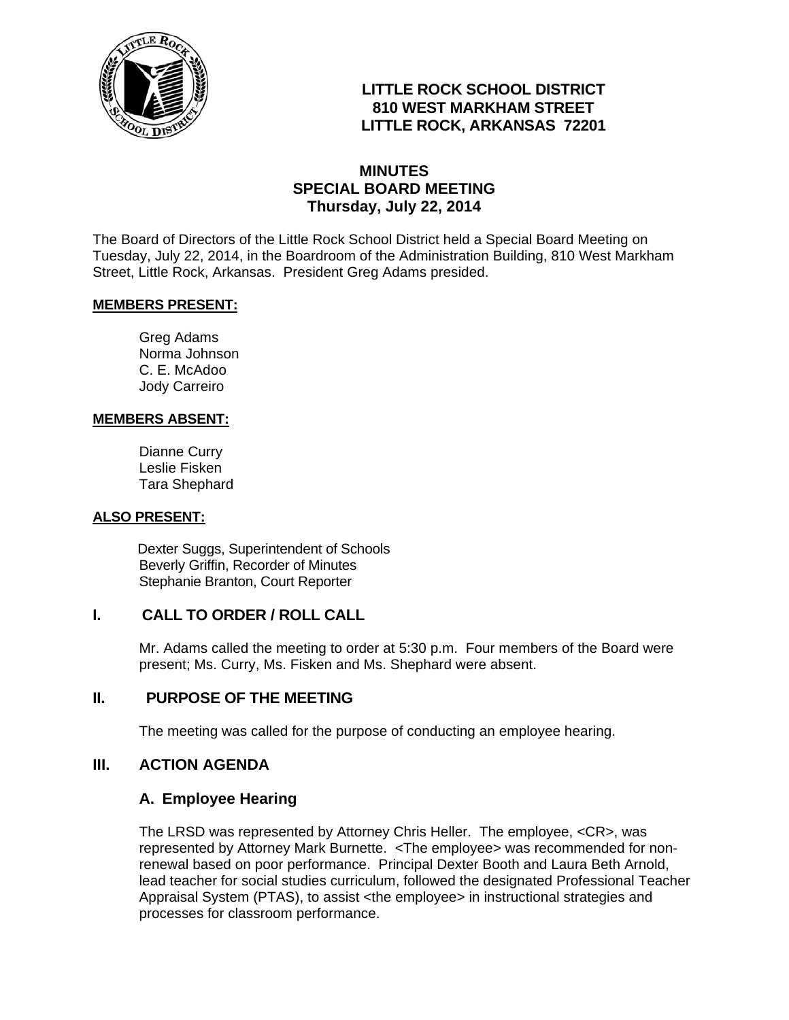

# **LITTLE ROCK SCHOOL DISTRICT 810 WEST MARKHAM STREET LITTLE ROCK, ARKANSAS 72201**

# **MINUTES SPECIAL BOARD MEETING Thursday, July 22, 2014**

The Board of Directors of the Little Rock School District held a Special Board Meeting on Tuesday, July 22, 2014, in the Boardroom of the Administration Building, 810 West Markham Street, Little Rock, Arkansas. President Greg Adams presided.

#### **MEMBERS PRESENT:**

Greg Adams Norma Johnson C. E. McAdoo Jody Carreiro

#### **MEMBERS ABSENT:**

Dianne Curry Leslie Fisken Tara Shephard

#### **ALSO PRESENT:**

 Dexter Suggs, Superintendent of Schools Beverly Griffin, Recorder of Minutes Stephanie Branton, Court Reporter

## **I. CALL TO ORDER / ROLL CALL**

Mr. Adams called the meeting to order at 5:30 p.m. Four members of the Board were present; Ms. Curry, Ms. Fisken and Ms. Shephard were absent.

## **II. PURPOSE OF THE MEETING**

The meeting was called for the purpose of conducting an employee hearing.

## **III. ACTION AGENDA**

#### **A. Employee Hearing**

The LRSD was represented by Attorney Chris Heller. The employee, <CR>, was represented by Attorney Mark Burnette. <The employee> was recommended for nonrenewal based on poor performance. Principal Dexter Booth and Laura Beth Arnold, lead teacher for social studies curriculum, followed the designated Professional Teacher Appraisal System (PTAS), to assist <the employee> in instructional strategies and processes for classroom performance.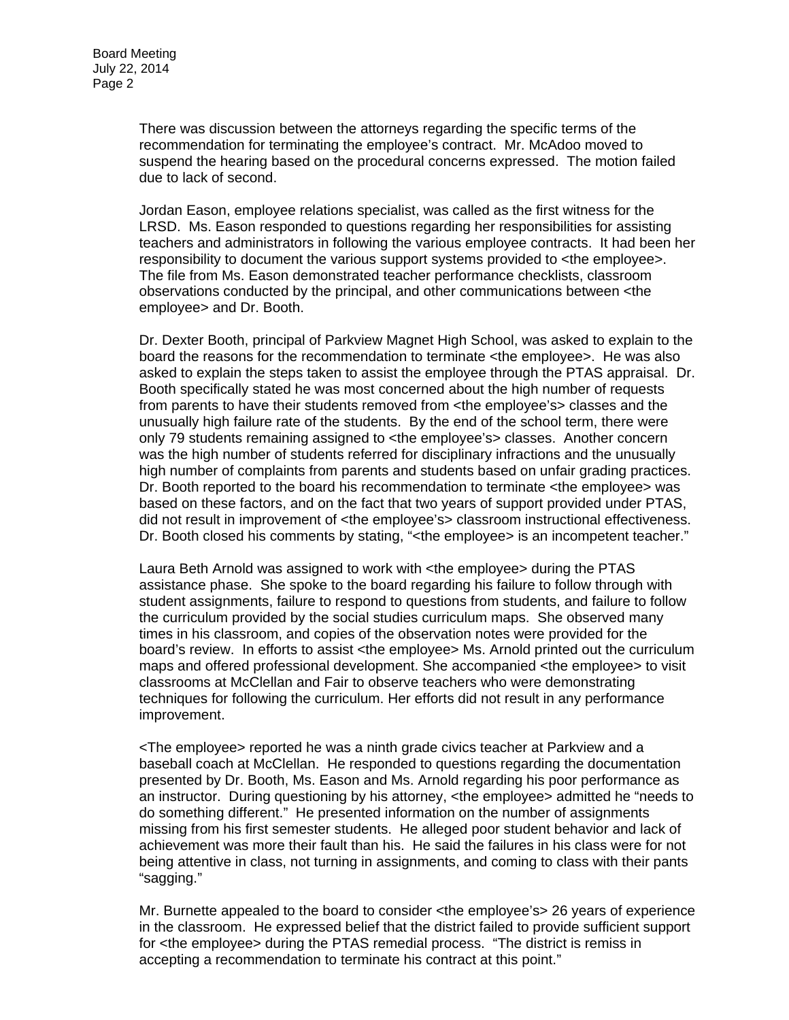There was discussion between the attorneys regarding the specific terms of the recommendation for terminating the employee's contract. Mr. McAdoo moved to suspend the hearing based on the procedural concerns expressed. The motion failed due to lack of second.

Jordan Eason, employee relations specialist, was called as the first witness for the LRSD. Ms. Eason responded to questions regarding her responsibilities for assisting teachers and administrators in following the various employee contracts. It had been her responsibility to document the various support systems provided to <the employee>. The file from Ms. Eason demonstrated teacher performance checklists, classroom observations conducted by the principal, and other communications between <the employee> and Dr. Booth.

Dr. Dexter Booth, principal of Parkview Magnet High School, was asked to explain to the board the reasons for the recommendation to terminate <the employee>. He was also asked to explain the steps taken to assist the employee through the PTAS appraisal. Dr. Booth specifically stated he was most concerned about the high number of requests from parents to have their students removed from <the employee's> classes and the unusually high failure rate of the students. By the end of the school term, there were only 79 students remaining assigned to <the employee's> classes. Another concern was the high number of students referred for disciplinary infractions and the unusually high number of complaints from parents and students based on unfair grading practices. Dr. Booth reported to the board his recommendation to terminate <the employee> was based on these factors, and on the fact that two years of support provided under PTAS, did not result in improvement of <the employee's> classroom instructional effectiveness. Dr. Booth closed his comments by stating, "<the employee> is an incompetent teacher."

Laura Beth Arnold was assigned to work with <the employee> during the PTAS assistance phase. She spoke to the board regarding his failure to follow through with student assignments, failure to respond to questions from students, and failure to follow the curriculum provided by the social studies curriculum maps. She observed many times in his classroom, and copies of the observation notes were provided for the board's review. In efforts to assist <the employee> Ms. Arnold printed out the curriculum maps and offered professional development. She accompanied <the employee> to visit classrooms at McClellan and Fair to observe teachers who were demonstrating techniques for following the curriculum. Her efforts did not result in any performance improvement.

<The employee> reported he was a ninth grade civics teacher at Parkview and a baseball coach at McClellan. He responded to questions regarding the documentation presented by Dr. Booth, Ms. Eason and Ms. Arnold regarding his poor performance as an instructor. During questioning by his attorney, <the employee> admitted he "needs to do something different." He presented information on the number of assignments missing from his first semester students. He alleged poor student behavior and lack of achievement was more their fault than his. He said the failures in his class were for not being attentive in class, not turning in assignments, and coming to class with their pants "sagging."

Mr. Burnette appealed to the board to consider <the employee's> 26 years of experience in the classroom. He expressed belief that the district failed to provide sufficient support for <the employee> during the PTAS remedial process. "The district is remiss in accepting a recommendation to terminate his contract at this point."